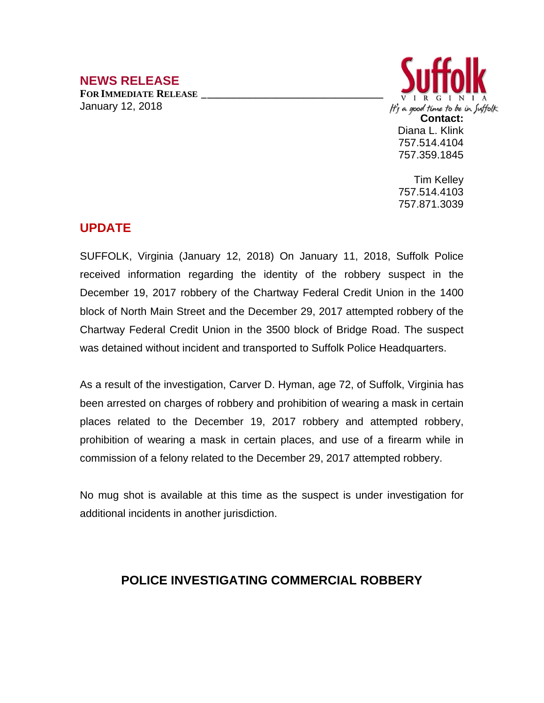## **NEWS RELEASE**

**FOR IMMEDIATE RELEASE \_\_\_\_\_\_\_\_\_\_\_\_\_\_\_\_\_\_\_\_\_\_\_\_\_\_\_\_\_\_\_\_\_\_** January 12, 2018



Tim Kelley 757.514.4103 757.871.3039

## **UPDATE**

SUFFOLK, Virginia (January 12, 2018) On January 11, 2018, Suffolk Police received information regarding the identity of the robbery suspect in the December 19, 2017 robbery of the Chartway Federal Credit Union in the 1400 block of North Main Street and the December 29, 2017 attempted robbery of the Chartway Federal Credit Union in the 3500 block of Bridge Road. The suspect was detained without incident and transported to Suffolk Police Headquarters.

As a result of the investigation, Carver D. Hyman, age 72, of Suffolk, Virginia has been arrested on charges of robbery and prohibition of wearing a mask in certain places related to the December 19, 2017 robbery and attempted robbery, prohibition of wearing a mask in certain places, and use of a firearm while in commission of a felony related to the December 29, 2017 attempted robbery.

No mug shot is available at this time as the suspect is under investigation for additional incidents in another jurisdiction.

## **POLICE INVESTIGATING COMMERCIAL ROBBERY**